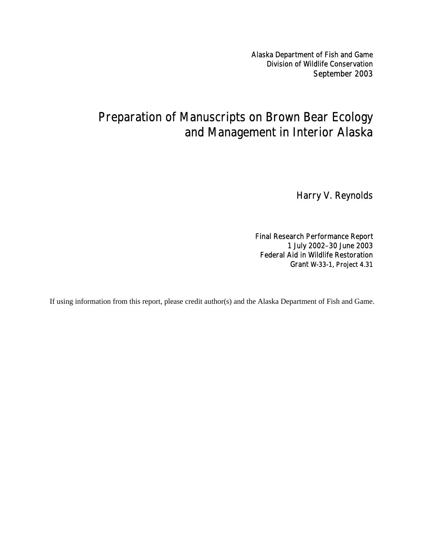Alaska Department of Fish and Game Division of Wildlife Conservation September 2003

## Preparation of Manuscripts on Brown Bear Ecology and Management in Interior Alaska

Harry V. Reynolds

Final Research Performance Report 1 July 2002–30 June 2003 Federal Aid in Wildlife Restoration Grant W-33-1, Project 4.31

If using information from this report, please credit author(s) and the Alaska Department of Fish and Game.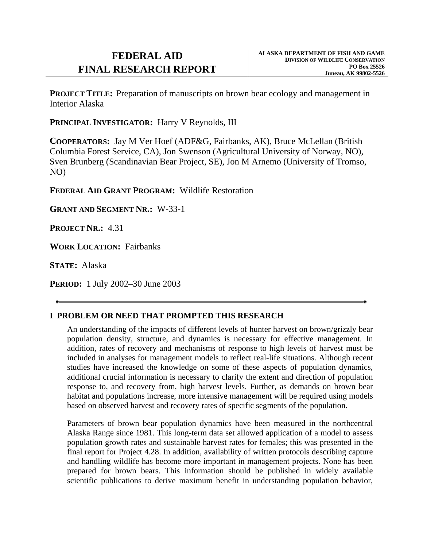# **FINAL RESEARCH REPORT PO Box 25526 PO Box 25526**

**PROJECT TITLE:** Preparation of manuscripts on brown bear ecology and management in Interior Alaska

**PRINCIPAL INVESTIGATOR:** Harry V Reynolds, III

**COOPERATORS:** Jay M Ver Hoef (ADF&G, Fairbanks, AK), Bruce McLellan (British Columbia Forest Service, CA), Jon Swenson (Agricultural University of Norway, NO), Sven Brunberg (Scandinavian Bear Project, SE), Jon M Arnemo (University of Tromso, NO)

**FEDERAL AID GRANT PROGRAM:** Wildlife Restoration

**GRANT AND SEGMENT NR.:** W-33-1

**PROJECT NR.:** 4.31

**WORK LOCATION:** Fairbanks

**STATE:** Alaska

**PERIOD:** 1 July 2002–30 June 2003

### **I PROBLEM OR NEED THAT PROMPTED THIS RESEARCH**

An understanding of the impacts of different levels of hunter harvest on brown/grizzly bear population density, structure, and dynamics is necessary for effective management. In addition, rates of recovery and mechanisms of response to high levels of harvest must be included in analyses for management models to reflect real-life situations. Although recent studies have increased the knowledge on some of these aspects of population dynamics, additional crucial information is necessary to clarify the extent and direction of population response to, and recovery from, high harvest levels. Further, as demands on brown bear habitat and populations increase, more intensive management will be required using models based on observed harvest and recovery rates of specific segments of the population.

Parameters of brown bear population dynamics have been measured in the northcentral Alaska Range since 1981. This long-term data set allowed application of a model to assess population growth rates and sustainable harvest rates for females; this was presented in the final report for Project 4.28. In addition, availability of written protocols describing capture and handling wildlife has become more important in management projects. None has been prepared for brown bears. This information should be published in widely available scientific publications to derive maximum benefit in understanding population behavior,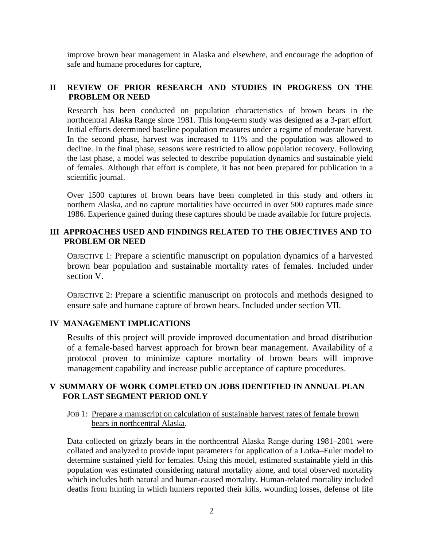improve brown bear management in Alaska and elsewhere, and encourage the adoption of safe and humane procedures for capture,

#### **II REVIEW OF PRIOR RESEARCH AND STUDIES IN PROGRESS ON THE PROBLEM OR NEED**

Research has been conducted on population characteristics of brown bears in the northcentral Alaska Range since 1981. This long-term study was designed as a 3-part effort. Initial efforts determined baseline population measures under a regime of moderate harvest. In the second phase, harvest was increased to 11% and the population was allowed to decline. In the final phase, seasons were restricted to allow population recovery. Following the last phase, a model was selected to describe population dynamics and sustainable yield of females. Although that effort is complete, it has not been prepared for publication in a scientific journal.

Over 1500 captures of brown bears have been completed in this study and others in northern Alaska, and no capture mortalities have occurred in over 500 captures made since 1986. Experience gained during these captures should be made available for future projects.

#### **III APPROACHES USED AND FINDINGS RELATED TO THE OBJECTIVES AND TO PROBLEM OR NEED**

OBJECTIVE 1: Prepare a scientific manuscript on population dynamics of a harvested brown bear population and sustainable mortality rates of females. Included under section V.

OBJECTIVE 2: Prepare a scientific manuscript on protocols and methods designed to ensure safe and humane capture of brown bears. Included under section VII.

#### **IV MANAGEMENT IMPLICATIONS**

Results of this project will provide improved documentation and broad distribution of a female-based harvest approach for brown bear management. Availability of a protocol proven to minimize capture mortality of brown bears will improve management capability and increase public acceptance of capture procedures.

#### **V SUMMARY OF WORK COMPLETED ON JOBS IDENTIFIED IN ANNUAL PLAN FOR LAST SEGMENT PERIOD ONLY**

JOB 1: Prepare a manuscript on calculation of sustainable harvest rates of female brown bears in northcentral Alaska.

Data collected on grizzly bears in the northcentral Alaska Range during 1981–2001 were collated and analyzed to provide input parameters for application of a Lotka–Euler model to determine sustained yield for females. Using this model, estimated sustainable yield in this population was estimated considering natural mortality alone, and total observed mortality which includes both natural and human-caused mortality. Human-related mortality included deaths from hunting in which hunters reported their kills, wounding losses, defense of life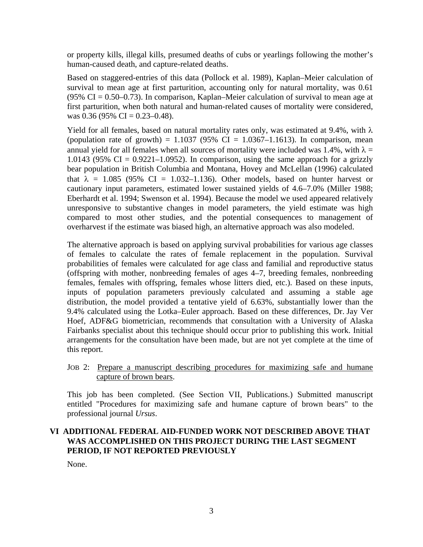or property kills, illegal kills, presumed deaths of cubs or yearlings following the mother's human-caused death, and capture-related deaths.

Based on staggered-entries of this data (Pollock et al. 1989), Kaplan–Meier calculation of survival to mean age at first parturition, accounting only for natural mortality, was 0.61 (95% CI =  $0.50-0.73$ ). In comparison, Kaplan–Meier calculation of survival to mean age at first parturition, when both natural and human-related causes of mortality were considered, was 0.36 (95% CI =  $0.23-0.48$ ).

Yield for all females, based on natural mortality rates only, was estimated at 9.4%, with  $\lambda$ (population rate of growth) =  $1.1037$  (95% CI =  $1.0367-1.1613$ ). In comparison, mean annual yield for all females when all sources of mortality were included was 1.4%, with  $\lambda =$ 1.0143 (95% CI =  $0.9221-1.0952$ ). In comparison, using the same approach for a grizzly bear population in British Columbia and Montana, Hovey and McLellan (1996) calculated that  $\lambda = 1.085$  (95% CI = 1.032–1.136). Other models, based on hunter harvest or cautionary input parameters, estimated lower sustained yields of 4.6–7.0% (Miller 1988; Eberhardt et al. 1994; Swenson et al. 1994). Because the model we used appeared relatively unresponsive to substantive changes in model parameters, the yield estimate was high compared to most other studies, and the potential consequences to management of overharvest if the estimate was biased high, an alternative approach was also modeled.

The alternative approach is based on applying survival probabilities for various age classes of females to calculate the rates of female replacement in the population. Survival probabilities of females were calculated for age class and familial and reproductive status (offspring with mother, nonbreeding females of ages 4–7, breeding females, nonbreeding females, females with offspring, females whose litters died, etc.). Based on these inputs, inputs of population parameters previously calculated and assuming a stable age distribution, the model provided a tentative yield of 6.63%, substantially lower than the 9.4% calculated using the Lotka–Euler approach. Based on these differences, Dr. Jay Ver Hoef, ADF&G biometrician, recommends that consultation with a University of Alaska Fairbanks specialist about this technique should occur prior to publishing this work. Initial arrangements for the consultation have been made, but are not yet complete at the time of this report.

This job has been completed. (See Section VII, Publications.) Submitted manuscript entitled "Procedures for maximizing safe and humane capture of brown bears" to the professional journal *Ursus*.

#### **VI ADDITIONAL FEDERAL AID-FUNDED WORK NOT DESCRIBED ABOVE THAT WAS ACCOMPLISHED ON THIS PROJECT DURING THE LAST SEGMENT PERIOD, IF NOT REPORTED PREVIOUSLY**

None.

JOB 2: Prepare a manuscript describing procedures for maximizing safe and humane capture of brown bears.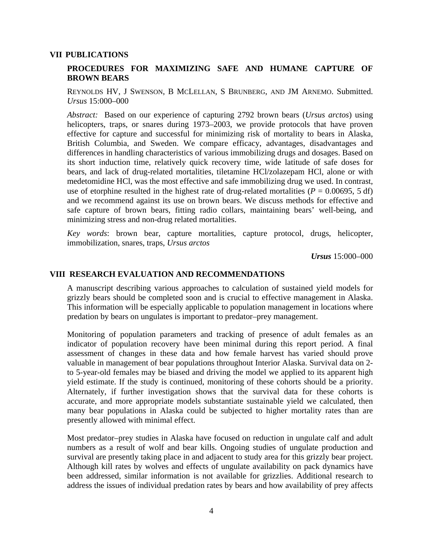#### **VII PUBLICATIONS**

#### **PROCEDURES FOR MAXIMIZING SAFE AND HUMANE CAPTURE OF BROWN BEARS**

REYNOLDS HV, J SWENSON, B MCLELLAN, S BRUNBERG, AND JM ARNEMO. Submitted. *Ursus* 15:000–000

*Abstract:* Based on our experience of capturing 2792 brown bears (*Ursus arctos*) using helicopters, traps, or snares during 1973–2003, we provide protocols that have proven effective for capture and successful for minimizing risk of mortality to bears in Alaska, British Columbia, and Sweden. We compare efficacy, advantages, disadvantages and differences in handling characteristics of various immobilizing drugs and dosages. Based on its short induction time, relatively quick recovery time, wide latitude of safe doses for bears, and lack of drug-related mortalities, tiletamine HCl/zolazepam HCl, alone or with medetomidine HCl, was the most effective and safe immobilizing drug we used. In contrast, use of etorphine resulted in the highest rate of drug-related mortalities ( $P = 0.00695$ , 5 df) and we recommend against its use on brown bears. We discuss methods for effective and safe capture of brown bears, fitting radio collars, maintaining bears' well-being, and minimizing stress and non-drug related mortalities.

*Key words*: brown bear, capture mortalities, capture protocol, drugs, helicopter, immobilization, snares, traps, *Ursus arctos*

*Ursus* 15:000–000

#### **VIII RESEARCH EVALUATION AND RECOMMENDATIONS**

A manuscript describing various approaches to calculation of sustained yield models for grizzly bears should be completed soon and is crucial to effective management in Alaska. This information will be especially applicable to population management in locations where predation by bears on ungulates is important to predator–prey management.

Monitoring of population parameters and tracking of presence of adult females as an indicator of population recovery have been minimal during this report period. A final assessment of changes in these data and how female harvest has varied should prove valuable in management of bear populations throughout Interior Alaska. Survival data on 2 to 5-year-old females may be biased and driving the model we applied to its apparent high yield estimate. If the study is continued, monitoring of these cohorts should be a priority. Alternately, if further investigation shows that the survival data for these cohorts is accurate, and more appropriate models substantiate sustainable yield we calculated, then many bear populations in Alaska could be subjected to higher mortality rates than are presently allowed with minimal effect.

Most predator–prey studies in Alaska have focused on reduction in ungulate calf and adult numbers as a result of wolf and bear kills. Ongoing studies of ungulate production and survival are presently taking place in and adjacent to study area for this grizzly bear project. Although kill rates by wolves and effects of ungulate availability on pack dynamics have been addressed, similar information is not available for grizzlies. Additional research to address the issues of individual predation rates by bears and how availability of prey affects